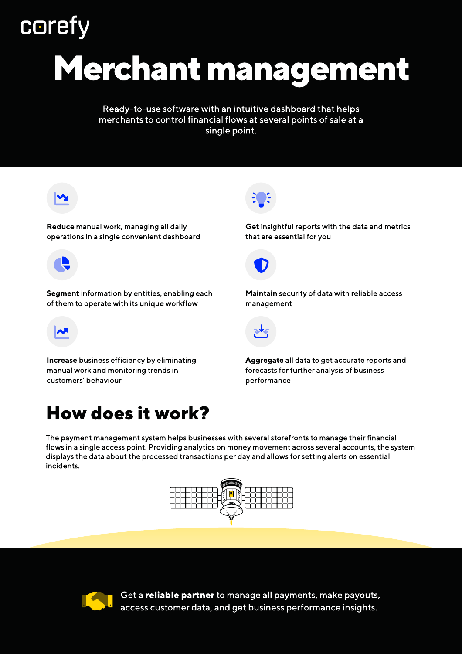# **coref**

# Merchant management

Ready-to-use software with an intuitive dashboard that helps merchants to control financial flows at several points of sale at a single point.



Reduce manual work, managing all daily operations in a single convenient dashboard



Segment information by entities, enabling each of them to operate with its unique workflow



Increase business efficiency by eliminating manual work and monitoring trends in customers' behaviour

# How does it work?



Get insightful reports with the data and metrics that are essential for you



Maintain security of data with reliable access management



Aggregate all data to get accurate reports and forecasts for further analysis of business performance

The payment management system helps businesses with several storefronts to manage their financial flows in a single access point. Providing analytics on money movement across several accounts, the system displays the data about the processed transactions per day and allows for setting alerts on essential incidents.





Get a reliable partner to manage all payments, make payouts, access customer data, and get business performance insights.